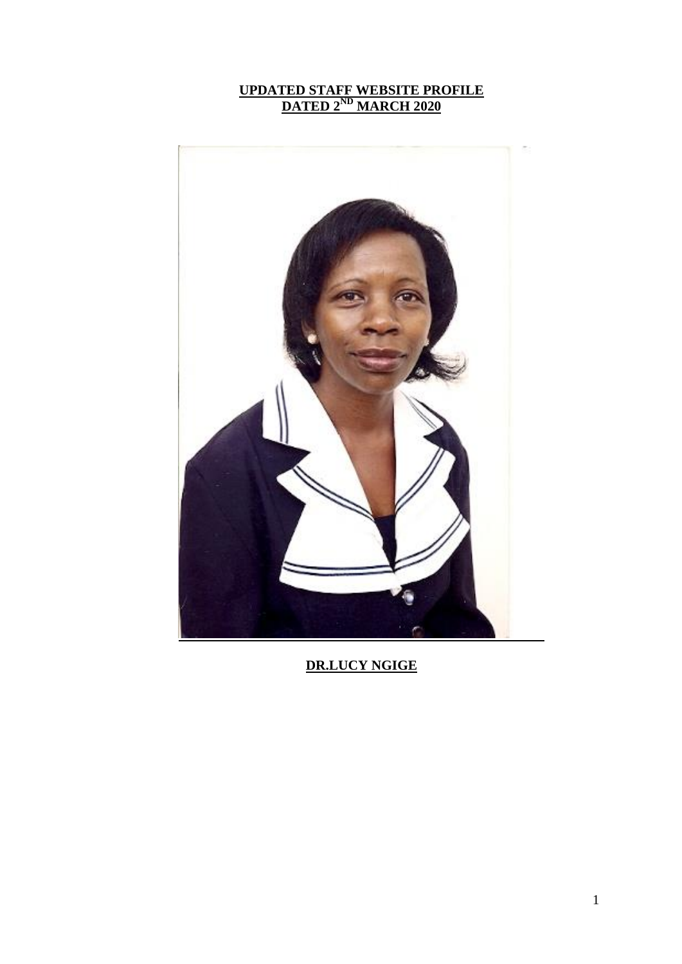#### **UPDATED STAFF WEBSITE PROFILE DATED 2ND MARCH 2020**



**DR.LUCY NGIGE**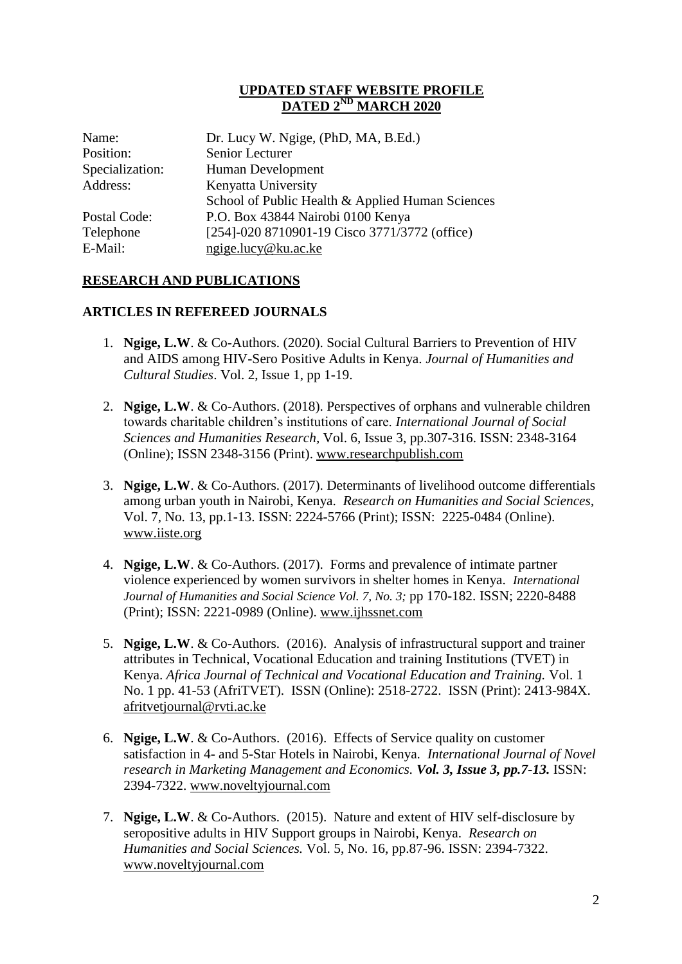#### **UPDATED STAFF WEBSITE PROFILE DATED 2 ND MARCH 2020**

| Dr. Lucy W. Ngige, (PhD, MA, B.Ed.)              |
|--------------------------------------------------|
| Senior Lecturer                                  |
| Human Development                                |
| Kenyatta University                              |
| School of Public Health & Applied Human Sciences |
| P.O. Box 43844 Nairobi 0100 Kenya                |
| [254]-020 8710901-19 Cisco 3771/3772 (office)    |
| ngige.lucy@ku.ac.ke                              |
|                                                  |

### **RESEARCH AND PUBLICATIONS**

#### **ARTICLES IN REFEREED JOURNALS**

- 1. **Ngige, L.W**. & Co-Authors. (2020). Social Cultural Barriers to Prevention of HIV and AIDS among HIV-Sero Positive Adults in Kenya. *Journal of Humanities and Cultural Studies*. Vol. 2, Issue 1, pp 1-19.
- 2. **Ngige, L.W**. & Co-Authors. (2018). Perspectives of orphans and vulnerable children towards charitable children's institutions of care. *International Journal of Social Sciences and Humanities Research,* Vol. 6, Issue 3, pp.307-316. ISSN: 2348-3164 (Online); ISSN 2348-3156 (Print). [www.researchpublish.com](http://www.researchpublish.com/)
- 3. **Ngige, L.W**. & Co-Authors. (2017). Determinants of livelihood outcome differentials among urban youth in Nairobi, Kenya. *Research on Humanities and Social Sciences,* Vol. 7, No. 13, pp.1-13. ISSN: 2224-5766 (Print); ISSN: 2225-0484 (Online). [www.iiste.org](http://www.iiste.org/)
- 4. **Ngige, L.W**. & Co-Authors. (2017). Forms and prevalence of intimate partner violence experienced by women survivors in shelter homes in Kenya. *International Journal of Humanities and Social Science Vol. 7, No. 3;* pp 170-182. ISSN; 2220-8488 (Print); ISSN: 2221-0989 (Online). [www.ijhssnet.com](http://www.ijhssnet.com/)
- 5. **Ngige, L.W**. & Co-Authors. (2016). Analysis of infrastructural support and trainer attributes in Technical, Vocational Education and training Institutions (TVET) in Kenya. *Africa Journal of Technical and Vocational Education and Training.* Vol. 1 No. 1 pp. 41-53 (AfriTVET). ISSN (Online): 2518-2722. ISSN (Print): 2413-984X. [afritvetjournal@rvti.ac.ke](mailto:afritvetjournal@rvti.ac.ke)
- 6. **Ngige, L.W**. & Co-Authors. (2016). Effects of Service quality on customer satisfaction in 4- and 5-Star Hotels in Nairobi, Kenya. *International Journal of Novel research in Marketing Management and Economics. Vol. 3, Issue 3, pp.7-13.* ISSN: 2394-7322. [www.noveltyjournal.com](http://www.noveltyjournal.com/)
- 7. **Ngige, L.W**. & Co-Authors. (2015). Nature and extent of HIV self-disclosure by seropositive adults in HIV Support groups in Nairobi, Kenya. *Research on Humanities and Social Sciences.* Vol. 5, No. 16, pp.87-96. ISSN: 2394-7322. [www.noveltyjournal.com](http://www.noveltyjournal.com/)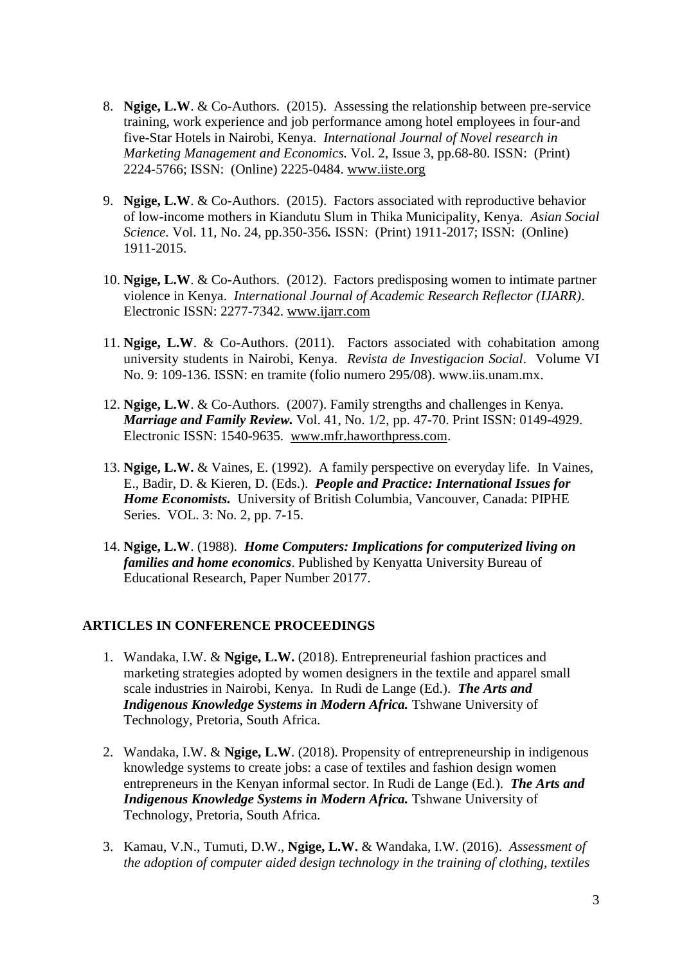- 8. **Ngige, L.W**. & Co-Authors. (2015). Assessing the relationship between pre-service training, work experience and job performance among hotel employees in four-and five-Star Hotels in Nairobi, Kenya. *International Journal of Novel research in Marketing Management and Economics.* Vol. 2, Issue 3, pp.68-80. ISSN: (Print) 2224-5766; ISSN: (Online) 2225-0484. [www.iiste.org](http://www.iiste.org/)
- 9. **Ngige, L.W**. & Co-Authors. (2015). Factors associated with reproductive behavior of low-income mothers in Kiandutu Slum in Thika Municipality, Kenya. *Asian Social Science*. Vol. 11, No. 24, pp.350-356*.* ISSN: (Print) 1911-2017; ISSN: (Online) 1911-2015.
- 10. **Ngige, L.W**. & Co-Authors. (2012). Factors predisposing women to intimate partner violence in Kenya. *International Journal of Academic Research Reflector (IJARR)*. Electronic ISSN: 2277-7342. [www.ijarr.com](http://www.ijarr.com/)
- 11. **Ngige, L.W**. & Co-Authors. (2011). Factors associated with cohabitation among university students in Nairobi, Kenya. *Revista de Investigacion Social*. Volume VI No. 9: 109-136. ISSN: en tramite (folio numero 295/08). www.iis.unam.mx.
- 12. **Ngige, L.W**. & Co-Authors. (2007). Family strengths and challenges in Kenya. *Marriage and Family Review.* Vol. 41, No. 1/2, pp. 47-70. Print ISSN: 0149-4929. Electronic ISSN: 1540-9635. [www.mfr.haworthpress.com.](http://www.mfr.haworthpress.com/)
- 13. **Ngige, L.W.** & Vaines, E. (1992). A family perspective on everyday life. In Vaines, E., Badir, D. & Kieren, D. (Eds.). *People and Practice: International Issues for Home Economists.* University of British Columbia, Vancouver, Canada: PIPHE Series. VOL. 3: No. 2, pp. 7-15.
- 14. **Ngige, L.W**. (1988). *Home Computers: Implications for computerized living on families and home economics*. Published by Kenyatta University Bureau of Educational Research, Paper Number 20177.

### **ARTICLES IN CONFERENCE PROCEEDINGS**

- 1. Wandaka, I.W. & **Ngige, L.W.** (2018). Entrepreneurial fashion practices and marketing strategies adopted by women designers in the textile and apparel small scale industries in Nairobi, Kenya. In Rudi de Lange (Ed.). *The Arts and Indigenous Knowledge Systems in Modern Africa.* **Tshwane University of** Technology, Pretoria, South Africa.
- 2. Wandaka, I.W. & **Ngige, L.W**. (2018). Propensity of entrepreneurship in indigenous knowledge systems to create jobs: a case of textiles and fashion design women entrepreneurs in the Kenyan informal sector. In Rudi de Lange (Ed.). *The Arts and Indigenous Knowledge Systems in Modern Africa.* **Tshwane University of** Technology, Pretoria, South Africa.
- 3. Kamau, V.N., Tumuti, D.W., **Ngige, L.W.** & Wandaka, I.W. (2016). *Assessment of the adoption of computer aided design technology in the training of clothing, textiles*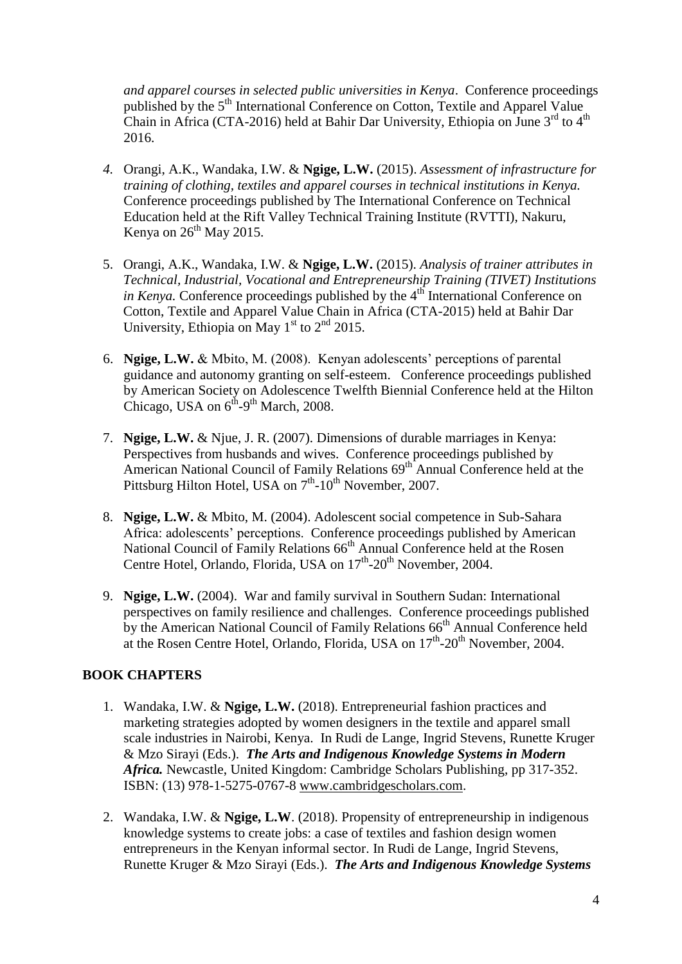*and apparel courses in selected public universities in Kenya*. Conference proceedings published by the 5<sup>th</sup> International Conference on Cotton, Textile and Apparel Value Chain in Africa (CTA-2016) held at Bahir Dar University, Ethiopia on June 3<sup>rd</sup> to 4<sup>th</sup> 2016.

- *4.* Orangi, A.K., Wandaka, I.W. & **Ngige, L.W.** (2015). *Assessment of infrastructure for training of clothing, textiles and apparel courses in technical institutions in Kenya.* Conference proceedings published by The International Conference on Technical Education held at the Rift Valley Technical Training Institute (RVTTI), Nakuru, Kenya on  $26<sup>th</sup>$  May 2015.
- 5. Orangi, A.K., Wandaka, I.W. & **Ngige, L.W.** (2015). *Analysis of trainer attributes in Technical, Industrial, Vocational and Entrepreneurship Training (TIVET) Institutions in Kenya.* Conference proceedings published by the 4<sup>th</sup> International Conference on Cotton, Textile and Apparel Value Chain in Africa (CTA-2015) held at Bahir Dar University, Ethiopia on May  $1<sup>st</sup>$  to  $2<sup>nd</sup>$  2015.
- 6. **Ngige, L.W.** & Mbito, M. (2008). Kenyan adolescents' perceptions of parental guidance and autonomy granting on self-esteem. Conference proceedings published by American Society on Adolescence Twelfth Biennial Conference held at the Hilton Chicago, USA on  $6^{th}$ -9<sup>th</sup> March, 2008.
- 7. **Ngige, L.W.** & Njue, J. R. (2007). Dimensions of durable marriages in Kenya: Perspectives from husbands and wives. Conference proceedings published by American National Council of Family Relations  $69<sup>th</sup>$  Annual Conference held at the Pittsburg Hilton Hotel, USA on  $7<sup>th</sup>$ -10<sup>th</sup> November, 2007.
- 8. **Ngige, L.W.** & Mbito, M. (2004). Adolescent social competence in Sub-Sahara Africa: adolescents' perceptions. Conference proceedings published by American National Council of Family Relations 66<sup>th</sup> Annual Conference held at the Rosen Centre Hotel, Orlando, Florida, USA on 17<sup>th</sup>-20<sup>th</sup> November, 2004.
- 9. **Ngige, L.W.** (2004). War and family survival in Southern Sudan: International perspectives on family resilience and challenges. Conference proceedings published by the American National Council of Family Relations 66<sup>th</sup> Annual Conference held at the Rosen Centre Hotel, Orlando, Florida, USA on 17<sup>th</sup>-20<sup>th</sup> November, 2004.

# **BOOK CHAPTERS**

- 1. Wandaka, I.W. & **Ngige, L.W.** (2018). Entrepreneurial fashion practices and marketing strategies adopted by women designers in the textile and apparel small scale industries in Nairobi, Kenya. In Rudi de Lange, Ingrid Stevens, Runette Kruger & Mzo Sirayi (Eds.). *The Arts and Indigenous Knowledge Systems in Modern Africa.* Newcastle, United Kingdom: Cambridge Scholars Publishing, pp 317-352. ISBN: (13) 978-1-5275-0767-8 [www.cambridgescholars.com.](http://www.cambridgescholars.com/)
- 2. Wandaka, I.W. & **Ngige, L.W**. (2018). Propensity of entrepreneurship in indigenous knowledge systems to create jobs: a case of textiles and fashion design women entrepreneurs in the Kenyan informal sector. In Rudi de Lange, Ingrid Stevens, Runette Kruger & Mzo Sirayi (Eds.). *The Arts and Indigenous Knowledge Systems*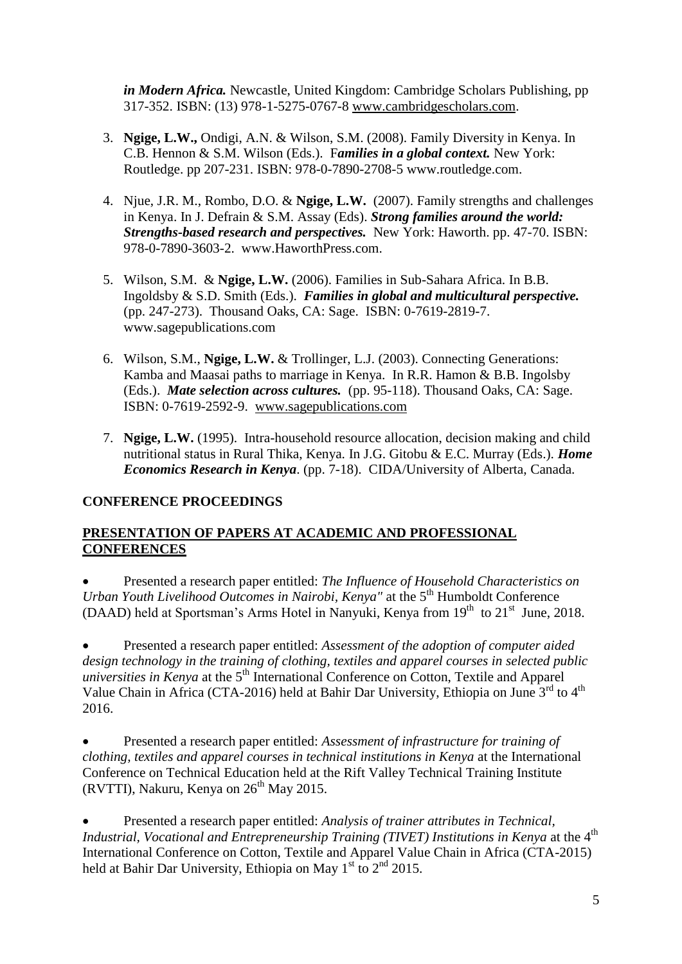*in Modern Africa.* Newcastle, United Kingdom: Cambridge Scholars Publishing, pp 317-352. ISBN: (13) 978-1-5275-0767-8 [www.cambridgescholars.com.](http://www.cambridgescholars.com/)

- 3. **Ngige, L.W.,** Ondigi, A.N. & Wilson, S.M. (2008). Family Diversity in Kenya. In C.B. Hennon & S.M. Wilson (Eds.). F*amilies in a global context.* New York: Routledge. pp 207-231. ISBN: 978-0-7890-2708-5 www.routledge.com.
- 4. Njue, J.R. M., Rombo, D.O. & **Ngige, L.W.** (2007). Family strengths and challenges in Kenya. In J. Defrain & S.M. Assay (Eds). *Strong families around the world: Strengths-based research and perspectives.* New York: Haworth. pp. 47-70. ISBN: 978-0-7890-3603-2. www.HaworthPress.com.
- 5. Wilson, S.M. & **Ngige, L.W.** (2006). Families in Sub-Sahara Africa. In B.B. Ingoldsby & S.D. Smith (Eds.). *Families in global and multicultural perspective.* (pp. 247-273). Thousand Oaks, CA: Sage. ISBN: 0-7619-2819-7. www.sagepublications.com
- 6. Wilson, S.M., **Ngige, L.W.** & Trollinger, L.J. (2003). Connecting Generations: Kamba and Maasai paths to marriage in Kenya. In R.R. Hamon & B.B. Ingolsby (Eds.). *Mate selection across cultures.* (pp. 95-118). Thousand Oaks, CA: Sage. ISBN: 0-7619-2592-9. [www.sagepublications.com](http://www.sagepublications.com/)
- 7. **Ngige, L.W.** (1995). Intra-household resource allocation, decision making and child nutritional status in Rural Thika, Kenya. In J.G. Gitobu & E.C. Murray (Eds.). *Home Economics Research in Kenya*. (pp. 7-18). CIDA/University of Alberta, Canada.

# **CONFERENCE PROCEEDINGS**

## **PRESENTATION OF PAPERS AT ACADEMIC AND PROFESSIONAL CONFERENCES**

 Presented a research paper entitled: *The Influence of Household Characteristics on Urban Youth Livelihood Outcomes in Nairobi, Kenya"* at the 5<sup>th</sup> Humboldt Conference (DAAD) held at Sportsman's Arms Hotel in Nanyuki, Kenya from  $19<sup>th</sup>$  to  $21<sup>st</sup>$  June, 2018.

 Presented a research paper entitled: *Assessment of the adoption of computer aided design technology in the training of clothing, textiles and apparel courses in selected public universities in Kenya* at the 5<sup>th</sup> International Conference on Cotton, Textile and Apparel Value Chain in Africa (CTA-2016) held at Bahir Dar University, Ethiopia on June 3<sup>rd</sup> to 4<sup>th</sup> 2016.

 Presented a research paper entitled: *Assessment of infrastructure for training of clothing, textiles and apparel courses in technical institutions in Kenya* at the International Conference on Technical Education held at the Rift Valley Technical Training Institute (RVTTI), Nakuru, Kenya on  $26<sup>th</sup>$  May 2015.

 Presented a research paper entitled: *Analysis of trainer attributes in Technical, Industrial, Vocational and Entrepreneurship Training (TIVET) Institutions in Kenya* at the 4<sup>th</sup> International Conference on Cotton, Textile and Apparel Value Chain in Africa (CTA-2015) held at Bahir Dar University, Ethiopia on May 1<sup>st</sup> to 2<sup>nd</sup> 2015.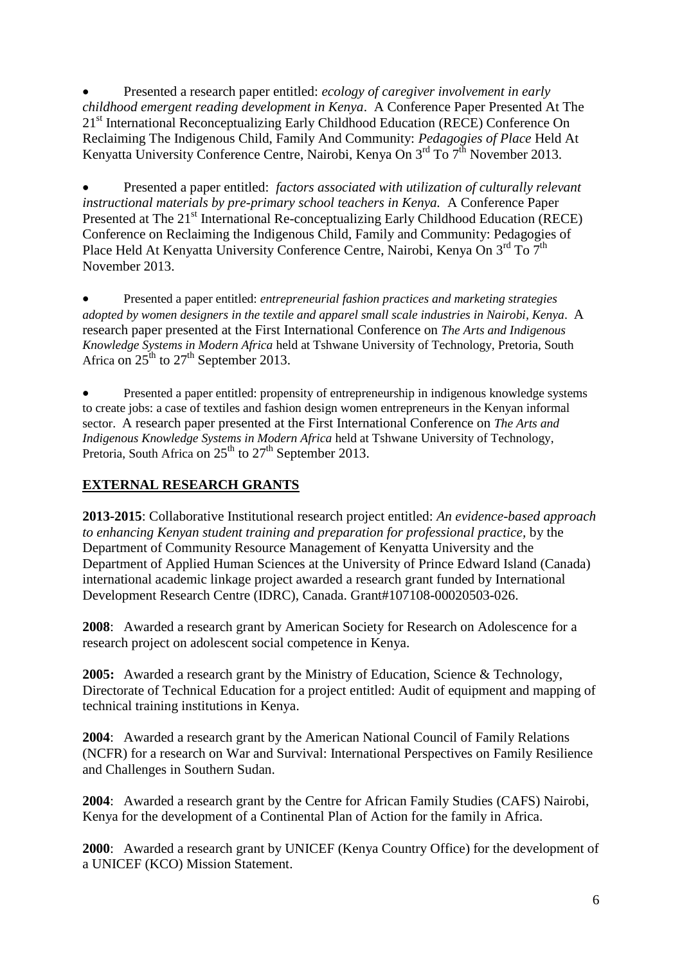Presented a research paper entitled: *ecology of caregiver involvement in early childhood emergent reading development in Kenya*. A Conference Paper Presented At The 21<sup>st</sup> International Reconceptualizing Early Childhood Education (RECE) Conference On Reclaiming The Indigenous Child, Family And Community: *Pedagogies of Place* Held At Kenyatta University Conference Centre, Nairobi, Kenya On 3<sup>rd</sup> To 7<sup>th</sup> November 2013.

 Presented a paper entitled: *factors associated with utilization of culturally relevant instructional materials by pre-primary school teachers in Kenya.* A Conference Paper Presented at The 21<sup>st</sup> International Re-conceptualizing Early Childhood Education (RECE) Conference on Reclaiming the Indigenous Child, Family and Community: Pedagogies of Place Held At Kenyatta University Conference Centre, Nairobi, Kenya On 3<sup>rd</sup> To 7<sup>th</sup> November 2013.

 Presented a paper entitled: *entrepreneurial fashion practices and marketing strategies adopted by women designers in the textile and apparel small scale industries in Nairobi, Kenya*. A research paper presented at the First International Conference on *The Arts and Indigenous Knowledge Systems in Modern Africa* held at Tshwane University of Technology, Pretoria, South Africa on  $25^{th}$  to  $27^{th}$  September 2013.

 Presented a paper entitled: propensity of entrepreneurship in indigenous knowledge systems to create jobs: a case of textiles and fashion design women entrepreneurs in the Kenyan informal sector. A research paper presented at the First International Conference on *The Arts and Indigenous Knowledge Systems in Modern Africa* held at Tshwane University of Technology, Pretoria, South Africa on  $25<sup>th</sup>$  to  $27<sup>th</sup>$  September 2013.

# **EXTERNAL RESEARCH GRANTS**

**2013-2015**: Collaborative Institutional research project entitled: *An evidence-based approach to enhancing Kenyan student training and preparation for professional practice,* by the Department of Community Resource Management of Kenyatta University and the Department of Applied Human Sciences at the University of Prince Edward Island (Canada) international academic linkage project awarded a research grant funded by International Development Research Centre (IDRC), Canada. Grant#107108-00020503-026.

**2008**: Awarded a research grant by American Society for Research on Adolescence for a research project on adolescent social competence in Kenya.

**2005:** Awarded a research grant by the Ministry of Education, Science & Technology, Directorate of Technical Education for a project entitled: Audit of equipment and mapping of technical training institutions in Kenya.

**2004**: Awarded a research grant by the American National Council of Family Relations (NCFR) for a research on War and Survival: International Perspectives on Family Resilience and Challenges in Southern Sudan.

**2004**: Awarded a research grant by the Centre for African Family Studies (CAFS) Nairobi, Kenya for the development of a Continental Plan of Action for the family in Africa.

**2000**: Awarded a research grant by UNICEF (Kenya Country Office) for the development of a UNICEF (KCO) Mission Statement.